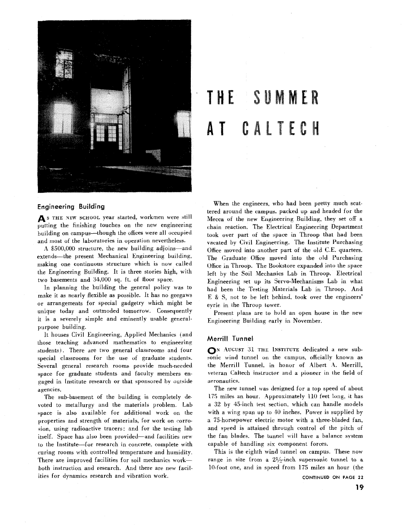

### H E SUMMER AI TEA T

#### **Engineering Building**

As THE NEW SCHOOL year started, workmen were still putting the finishing touches on the new engineering building on campus-though the offices were all occupied and most of the laboratories in operation nevertheless.

A \$500,000 structure, the new building adjoins-and extends—the present Mechanical Engineering building, making one continuous structure which is now called the Engineering Building. It is three stories high, with two basements and 34,000 sq. ft. of floor space.

In planning the building the general policy was to make it as nearly flexible as possible. It has no geegaws or arrangements for special gadgetry which might be unique today and outmoded tomorrow. Consequently it is a severely simple and eminently usable generalpurpose building.

It houses Civil Engineering, Applied Mechanics (and those teaching advanced mathematics to engineering students). There are two general classrooms and four special classrooms for the use of graduate students. Several general research rooms provide much-needed space for graduate students and faculty members engaged in Institute research or that sponsored by outside agencies.

The sub-basement of the building is completely devoted to metallurgy and the materials problem. Lab space is also available for additional work on the properties and strength of materials, for work on corrosion, using radioactive tracers: and for the testing lab itself. Space has also been provided-and facilities new io ihe Institute-for research in concrete, complete with curing rooms with controlled temperature and humidity. There are improved facilities for soil mechanics workboth instruction and research. And there are new facilities for dynamics research and vibration work.

When the engineers, who had been pretty much scattered around the campus, packed up and headed for the Mecca of the new Engineering Building, they set off a chain reaction. The Electrical Engineering Department took over part of the space in Throop that had been vacated by Civil Engineering. The Institute Purchasing Ofice moved into mother part of the old **C.E.** quarters. The Graduate Office moved into the old Purchasing Office in Throop. The Bookstore expanded into the space left by the Soil Mechanics Lab in Throop. Electrical Engineering set up its Servo-Mechanisms Lab in what had been the Testing Materials Lab in Throop. And E & S, not to be left behind, took over the engineers' eyrie in the Throop tower.

Present plans are to hold an open house in the new Engineering Building earlv in November.

#### **Merrill Tunnel**

**N AUGUST** 31 **THE INSTITUTE** dedicated **3** new subsonic wind tunnel on the campus, officially known as the Merrill 'I'unnel. in honor of Albert **4.** Merrill, veteran Caltech instructor and a pioneer in the field of aeronautics.

The new tunnel was designed for a top speed of about 175 miles an hour. Approximately  $110$  feet long, it has **<sup>d</sup>**32 by 45-inch iest section, which can handle models with a wing span up to 40 inches. Power is supplied by a 75-horsepower electric motor with a three-bladed fan, and speed is attained through control of the pitch of the fan blades. The tunnel will have a balance system capable of handling six component forces.

This is the eighth wind tunnel on campus. These now range in size from a  $2\frac{1}{2}$ -inch supersonic tunnel to a 10-foot one, and in speed from 175 miles an hour (the

**CONTINUED** ON **PAGE 22**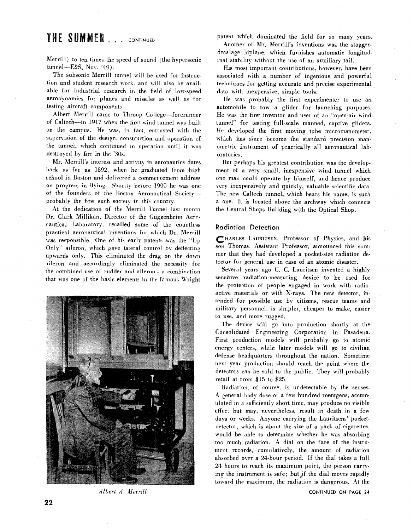# THE SUMMER . . . CONTINUED

Merrill) to ten times the speed of sound (the hypersonic tunnel--E&S, Nov. '49).

The subsonic Merrill tunnel will be used for instruction and student research work. and will also be available for industrial research in the field of low-speed aerodynamics for planes and missiles as well as for testing aircraft components

Albert Merrill came to Throop College-forerunner of Caltech-in 1917 when the hrst wind tunnel was built on the campus. He was, in fact, entrusted with the supervision of the design, construction and operation of the tunnel, which continued in operation until it was destroyed by fire in the '30s.

Mr. Merrill's interest and activity in aeronautics dates back as fan as 1892. when he graduated from high school in Boston and delivered a commencement address on progress in flying Shortly before 1900 he was one of the founders of the Boston Aeronautical Societyprobably the first such society in this country.

At the dedication of the Merrill Tunnel last month Dr. Clark Millikan. Director of the Guggenheim Aeronautical Laboratory, recalled some ot the countless practical aeronautical inventions for which Dr. Merrill was responsible. One of his early patents was the "Up Only" aileron, which gave lateral control by deflecting upwards only. This- eliminated the drag on the down aileron and accordinglv eliminated the necessity for the combined use of rudder and aileron-a combination that was one of the basic elements **in** the famous Wright



Albert A. Merrill

patent which dominated the field for so many years.

Another of Mr. Merrill's inventions was the staggerdecalage biplane, which furnishes automatic longitudinal stability without the use of an auxiliary tail.

His most important contributions, however. have been associated with a number of ingenious and powerful techniques for getting accurate and precise experimental data with inexpensive, simple tools.

He was probably the first experimenter to use an automobile to tow **a** glider for launching purposes. He was the first inventor and user of an "open-air wind tunnel" for testing full-scale manned, captive gliders. He developed the first moving tube micromanometer, which has since become the standard precision manometric instrument of practically all aeronautical laboratories.

But perhaps his greatest contribution was the development of a very small, inexpensive wind tunnel which one man could operate by himself, and hence produce very inexpensively and quickly, valuable scientific data. The new Caltech tunnel, which bears his name, is such a one. It is located above the archway which connects the Central Shops Building with the Optical Shop.

#### **Radiation Detection**

HARLES **LAURITSEN,** Professor of Physics, and his son Thomas, Assistant Professor, announced this summer that they had developed a pocket-size radiation detector for general use in case of an atomic disaster.

Several years ago C. **C.** Lauritsen invented a highly sensitive radiation-measuring device to be used for the protection of people engaged in work with radioactive materials or with X-rays. The new detector, intended for possible use by citizens, rescue teams and military personnel, is simpler, cheaper to make, easier to use. and more rugged.

The device will go into production shortly at the Consolidated Engineering Corporation in Pasadena. First production models will probably go to atomic energy centers, while later models will go to civilian defense headquarters throughout the nation. Sometime next year production should reach the point where the detectors can be sold to the public. They will probably retail at from \$15 to \$25.

Radiation, of course, is undetectable by the senses. A general body dose of a few hundred roentgens, accumulated in a sufficiently short time. may produce no visible effect but may, nevertheless. result in death in a few days or weeks. Anyone carrying the Lauritsens' pocketdetector, which is about the size of a pack of cigarettes, would be able to determine whether he was absorbing too much radiation. **A** dial on the face of the instrument records, cumulatively, the amount of radiation absorbed over a 24-hour period. If the dial takes a full 24 hours to reach its maximum point, the person carrying the instrument is safe; but if the dial moves rapidly toward the maximum, the radiation is dangerous. At the

**CONTINUED ON PAGE 24**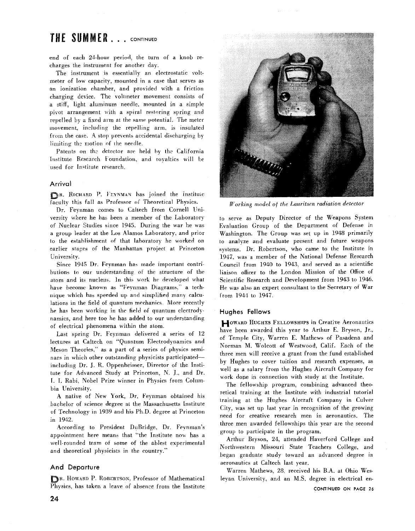## THE SUMMER... CONTINUED

end of each 24-hour period, the turn of a knob recharges the instrument for another day.

The instrument is essentially an electrostatic voltmeter of low capacity, mounted in a case that serves as an ionization chamber, and provided with a friction charging device. The voltmeter movement consists of a stiff, light aluminum needle, mounted in a simple pivot arrangement with a spiral restoring spring and repelled by a fixed arm at the same potential. The meter movement, including the repelling arm, is insulated from the case. A stop prevents accidental discharging by limiting the motion of the needle.

Patents on the detector are held by the California Institute Research Foundation, and royalties will be used for Institute research.

#### **Arrival**

BR. RICHARD P. FEYNMAN has joined the Institute faculty this fall as Professor of Theoretical Physics.

Dr. Feynman comes to Caltech from Cornell University where he has been a member of the Laboratory of Nuclear Studies since 1945. During the war he was a group leader at the Los Alamos Laboratory, and prior to the establishment of that laboratory he worked on earlier stages of the Manhattan project at Princeton University.

Since 1945 Dr. Feynman has made important contributions to oui understanding **of** the structure of the atom and its nucleus. In this work he developed what have become known as "Feynman Diagrams," a technique which has speeded up and simplified many calculations in the field of quantum mechanics. More recently he has been working in the field of quantum electrodynamics, and here too he has added to our understanding of electrical phenomena within the atom

Last spring Dr. Feynman delivered a series of 12 lectures at Caltech on "Quantum Electrodynamics and Meson Theories." as a part of a series of physics seminars in which other outstanding physicists participatedincluding Dr. J. **R.** Oppenheiiner, Director of the Institute for Advanced Study at Princeton, N. J., and Dr. 1. I. Rabi, Nobel Prize winner in Physics from Columbia University.

A native of New York, Dr. Feynman obtained his bachelor of science degree ai the Massachusetts Institute of Technology in 1939 and his Ph.D. degree at Princeton in 1942.

According to President DuBridge, Dr. Fevnman's appointment here means that "the Institute now has a well-rounded team of some of the ablest experimental and theoretical physicists in the country."

#### **And Departure**

**R.** HOWARD P. ROBERTSON. Professor of Mathematical Physics, has taken a leave of absence from the Institute



*Working* model of *the Lauritsen radiation detector* 

to serve as Deputy Director of the Weapons System Evaluation Group of the Department of Defense in Washington. The Group was set up in 1948 primarily to analyze and evaluate present and future weapons systems. Dr. Robertson, who came to the Institute in 1947, was a member of the National Defense Research Council from 1940 to 1943, and served as a scientific liaison officer to the London Mission of the Office of Scientific Research and Development from 1943 to 1946. He was also an expert consultant to the Secretary of War Irom 1944 to 1947.

#### **Hughes Fellows**

HOWARD HUGHES FELLOWSHIPS in Creative Aeronautics have been awarded this year to Arthur E, Bryson, Jr., of Temple City, Warren E. Mathews of Pasadena and Norman M. Wolcott of Westwood, Calif. Each of the three men will receive a grant from the fund established by Hughes to cover tuition and research expenses, as well as a salary from the Hughes Aircraft Company for work dope in connection with study at the Institute.

The fellowship program, combining advanced theoretical training at the Institute with industrial tutorial training at the Hughes Aircraft Company in Culver City, was set up last year in recognition of the growing need for creative research men in aeronautics. The three men awarded fellowships this year are the second group to participate in the program.

Arthur Bryson, 24, attended Haverford College and Northwestern Missouri State Teachers College, and began graduate study toward an advanced degree in aeronautics at Caltech last year.

Warren Mathews, 28. received his B.A. at Ohio Wesleyan University. and an M.S. degree in electrical en-